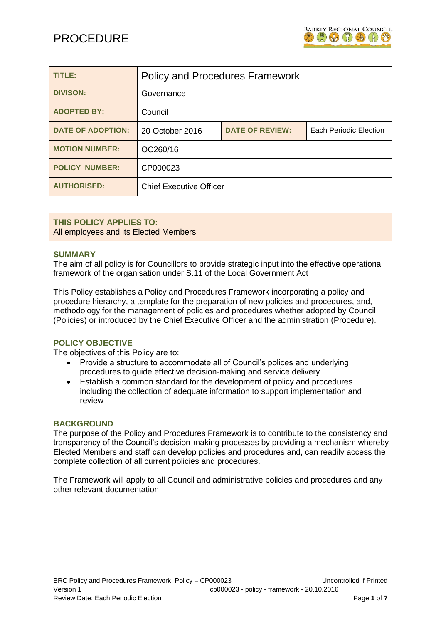

| TITLE:                   | <b>Policy and Procedures Framework</b> |                        |                        |
|--------------------------|----------------------------------------|------------------------|------------------------|
| <b>DIVISON:</b>          | Governance                             |                        |                        |
| <b>ADOPTED BY:</b>       | Council                                |                        |                        |
| <b>DATE OF ADOPTION:</b> | 20 October 2016                        | <b>DATE OF REVIEW:</b> | Each Periodic Election |
| <b>MOTION NUMBER:</b>    | OC260/16                               |                        |                        |
| <b>POLICY NUMBER:</b>    | CP000023                               |                        |                        |
| <b>AUTHORISED:</b>       | <b>Chief Executive Officer</b>         |                        |                        |

# **THIS POLICY APPLIES TO:** All employees and its Elected Members

### **SUMMARY**

The aim of all policy is for Councillors to provide strategic input into the effective operational framework of the organisation under S.11 of the Local Government Act

This Policy establishes a Policy and Procedures Framework incorporating a policy and procedure hierarchy, a template for the preparation of new policies and procedures, and, methodology for the management of policies and procedures whether adopted by Council (Policies) or introduced by the Chief Executive Officer and the administration (Procedure).

# **POLICY OBJECTIVE**

The objectives of this Policy are to:

- Provide a structure to accommodate all of Council's polices and underlying procedures to guide effective decision-making and service delivery
- Establish a common standard for the development of policy and procedures including the collection of adequate information to support implementation and review

### **BACKGROUND**

The purpose of the Policy and Procedures Framework is to contribute to the consistency and transparency of the Council's decision-making processes by providing a mechanism whereby Elected Members and staff can develop policies and procedures and, can readily access the complete collection of all current policies and procedures.

The Framework will apply to all Council and administrative policies and procedures and any other relevant documentation.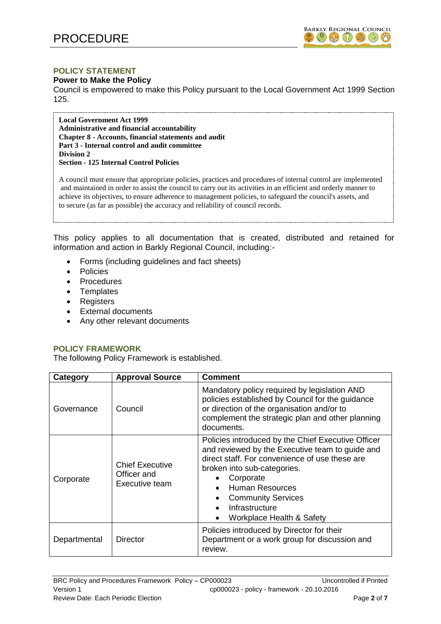

## **POLICY STATEMENT**

### **Power to Make the Policy**

Council is empowered to make this Policy pursuant to the Local Government Act 1999 Section 125.

**Local Government Act 1999 Administrative and financial accountability Chapter 8 - Accounts, financial statements and audit Part 3 - Internal control and audit committee Division 2 Section - 125 Internal Control Policies**

A council must ensure that appropriate policies, practices and procedures of internal control are implemented and maintained in order to assist the council to carry out its activities in an efficient and orderly manner to achieve its objectives, to ensure adherence to management policies, to safeguard the council's assets, and to secure (as far as possible) the accuracy and reliability of council records.

This policy applies to all documentation that is created, distributed and retained for information and action in Barkly Regional Council, including:-

- Forms (including guidelines and fact sheets)
- Policies
- Procedures
- Templates
- Registers
- External documents
- Any other relevant documents

# **POLICY FRAMEWORK**

The following Policy Framework is established.

| Category     | <b>Approval Source</b>                                  | <b>Comment</b>                                                                                                                                                                                                                                                                                     |  |
|--------------|---------------------------------------------------------|----------------------------------------------------------------------------------------------------------------------------------------------------------------------------------------------------------------------------------------------------------------------------------------------------|--|
| Governance   | Council                                                 | Mandatory policy required by legislation AND<br>policies established by Council for the guidance<br>or direction of the organisation and/or to<br>complement the strategic plan and other planning<br>documents.                                                                                   |  |
| Corporate    | <b>Chief Executive</b><br>Officer and<br>Executive team | Policies introduced by the Chief Executive Officer<br>and reviewed by the Executive team to guide and<br>direct staff. For convenience of use these are<br>broken into sub-categories.<br>Corporate<br>Human Resources<br><b>Community Services</b><br>Infrastructure<br>Workplace Health & Safety |  |
| Departmental | Director                                                | Policies introduced by Director for their<br>Department or a work group for discussion and<br>review.                                                                                                                                                                                              |  |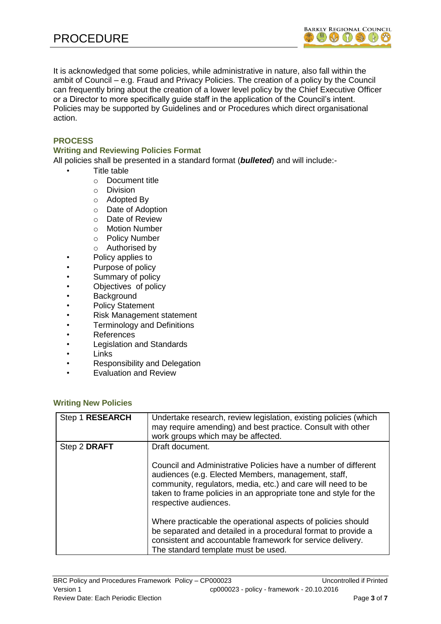

It is acknowledged that some policies, while administrative in nature, also fall within the ambit of Council – e.g. Fraud and Privacy Policies. The creation of a policy by the Council can frequently bring about the creation of a lower level policy by the Chief Executive Officer or a Director to more specifically guide staff in the application of the Council's intent. Policies may be supported by Guidelines and or Procedures which direct organisational action.

# **PROCESS**

## **Writing and Reviewing Policies Format**

All policies shall be presented in a standard format (*bulleted*) and will include:-

- Title table
	- o Document title
	- o Division
	- o Adopted By
	- o Date of Adoption
	- o Date of Review
	- o Motion Number
	- o Policy Number
	- o Authorised by
- Policy applies to
- Purpose of policy
- Summary of policy
- Objectives of policy
- **Background**
- Policy Statement
- Risk Management statement
- Terminology and Definitions
- References
- Legislation and Standards
- Links
- Responsibility and Delegation
- Evaluation and Review

### **Writing New Policies**

| Step 1 RESEARCH | Undertake research, review legislation, existing policies (which<br>may require amending) and best practice. Consult with other<br>work groups which may be affected.                                                                                                              |
|-----------------|------------------------------------------------------------------------------------------------------------------------------------------------------------------------------------------------------------------------------------------------------------------------------------|
| Step 2 DRAFT    | Draft document.                                                                                                                                                                                                                                                                    |
|                 | Council and Administrative Policies have a number of different<br>audiences (e.g. Elected Members, management, staff,<br>community, regulators, media, etc.) and care will need to be<br>taken to frame policies in an appropriate tone and style for the<br>respective audiences. |
|                 | Where practicable the operational aspects of policies should<br>be separated and detailed in a procedural format to provide a<br>consistent and accountable framework for service delivery.<br>The standard template must be used.                                                 |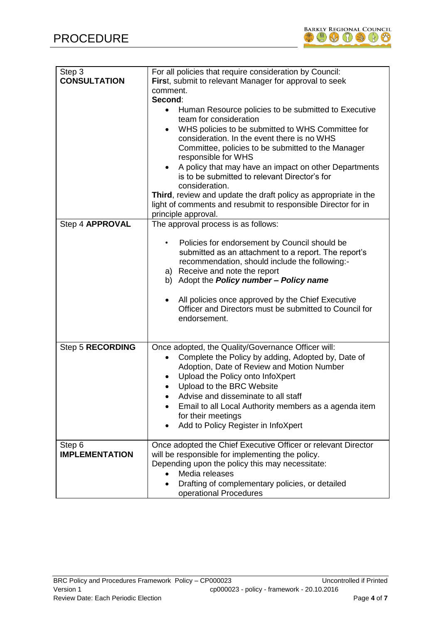

| Step 3<br><b>CONSULTATION</b>   | For all policies that require consideration by Council:<br>First, submit to relevant Manager for approval to seek<br>comment.<br>Second:<br>Human Resource policies to be submitted to Executive<br>team for consideration<br>WHS policies to be submitted to WHS Committee for<br>$\bullet$<br>consideration. In the event there is no WHS<br>Committee, policies to be submitted to the Manager<br>responsible for WHS<br>A policy that may have an impact on other Departments<br>is to be submitted to relevant Director's for<br>consideration.<br>Third, review and update the draft policy as appropriate in the<br>light of comments and resubmit to responsible Director for in |
|---------------------------------|------------------------------------------------------------------------------------------------------------------------------------------------------------------------------------------------------------------------------------------------------------------------------------------------------------------------------------------------------------------------------------------------------------------------------------------------------------------------------------------------------------------------------------------------------------------------------------------------------------------------------------------------------------------------------------------|
|                                 | principle approval.                                                                                                                                                                                                                                                                                                                                                                                                                                                                                                                                                                                                                                                                      |
| Step 4 APPROVAL                 | The approval process is as follows:<br>Policies for endorsement by Council should be<br>submitted as an attachment to a report. The report's<br>recommendation, should include the following:-<br>a) Receive and note the report<br>b) Adopt the <b>Policy number - Policy name</b><br>All policies once approved by the Chief Executive<br>Officer and Directors must be submitted to Council for<br>endorsement.                                                                                                                                                                                                                                                                       |
| Step 5 RECORDING                | Once adopted, the Quality/Governance Officer will:<br>Complete the Policy by adding, Adopted by, Date of<br>Adoption, Date of Review and Motion Number<br>Upload the Policy onto InfoXpert<br>٠<br>Upload to the BRC Website<br>Advise and disseminate to all staff<br>Email to all Local Authority members as a agenda item<br>for their meetings<br>Add to Policy Register in InfoXpert<br>٠                                                                                                                                                                                                                                                                                           |
| Step 6<br><b>IMPLEMENTATION</b> | Once adopted the Chief Executive Officer or relevant Director<br>will be responsible for implementing the policy.<br>Depending upon the policy this may necessitate:<br>Media releases<br>Drafting of complementary policies, or detailed<br>operational Procedures                                                                                                                                                                                                                                                                                                                                                                                                                      |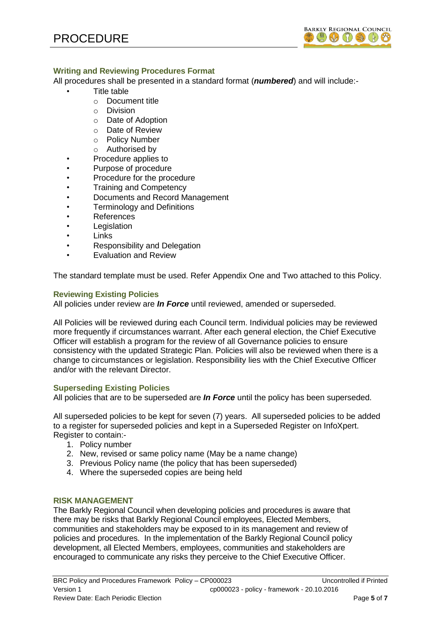

# **Writing and Reviewing Procedures Format**

All procedures shall be presented in a standard format (*numbered*) and will include:-

- Title table
- o Document title
	- o Division
	- o Date of Adoption
	- o Date of Review
	- o Policy Number
- o Authorised by
- Procedure applies to
- Purpose of procedure
- Procedure for the procedure
- Training and Competency
- Documents and Record Management
- Terminology and Definitions
- References
- **Legislation**
- **Links**
- Responsibility and Delegation
- Evaluation and Review

The standard template must be used. Refer Appendix One and Two attached to this Policy.

# **Reviewing Existing Policies**

All policies under review are *In Force* until reviewed, amended or superseded.

All Policies will be reviewed during each Council term. Individual policies may be reviewed more frequently if circumstances warrant. After each general election, the Chief Executive Officer will establish a program for the review of all Governance policies to ensure consistency with the updated Strategic Plan. Policies will also be reviewed when there is a change to circumstances or legislation. Responsibility lies with the Chief Executive Officer and/or with the relevant Director.

# **Superseding Existing Policies**

All policies that are to be superseded are *In Force* until the policy has been superseded.

All superseded policies to be kept for seven (7) years. All superseded policies to be added to a register for superseded policies and kept in a Superseded Register on InfoXpert. Register to contain:-

- 1. Policy number
- 2. New, revised or same policy name (May be a name change)
- 3. Previous Policy name (the policy that has been superseded)
- 4. Where the superseded copies are being held

# **RISK MANAGEMENT**

The Barkly Regional Council when developing policies and procedures is aware that there may be risks that Barkly Regional Council employees, Elected Members, communities and stakeholders may be exposed to in its management and review of policies and procedures. In the implementation of the Barkly Regional Council policy development, all Elected Members, employees, communities and stakeholders are encouraged to communicate any risks they perceive to the Chief Executive Officer.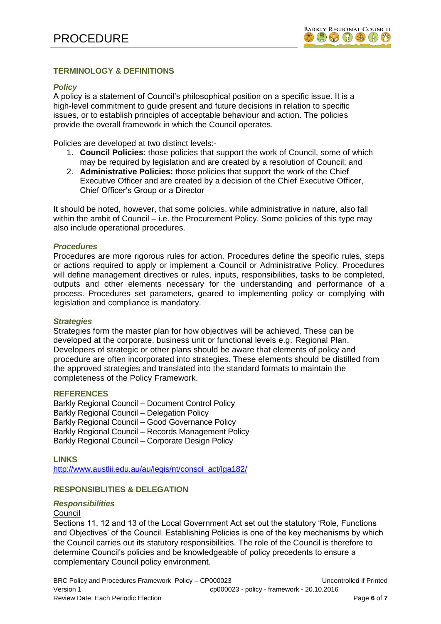# **TERMINOLOGY & DEFINITIONS**

### *Policy*

A policy is a statement of Council's philosophical position on a specific issue. It is a high-level commitment to guide present and future decisions in relation to specific issues, or to establish principles of acceptable behaviour and action. The policies provide the overall framework in which the Council operates.

Policies are developed at two distinct levels:-

- 1. **Council Policies**: those policies that support the work of Council, some of which may be required by legislation and are created by a resolution of Council; and
- 2. **Administrative Policies:** those policies that support the work of the Chief Executive Officer and are created by a decision of the Chief Executive Officer, Chief Officer's Group or a Director

It should be noted, however, that some policies, while administrative in nature, also fall within the ambit of Council – i.e. the Procurement Policy. Some policies of this type may also include operational procedures.

### *Procedures*

Procedures are more rigorous rules for action. Procedures define the specific rules, steps or actions required to apply or implement a Council or Administrative Policy. Procedures will define management directives or rules, inputs, responsibilities, tasks to be completed, outputs and other elements necessary for the understanding and performance of a process. Procedures set parameters, geared to implementing policy or complying with legislation and compliance is mandatory.

### *Strategies*

Strategies form the master plan for how objectives will be achieved. These can be developed at the corporate, business unit or functional levels e.g. Regional Plan. Developers of strategic or other plans should be aware that elements of policy and procedure are often incorporated into strategies. These elements should be distilled from the approved strategies and translated into the standard formats to maintain the completeness of the Policy Framework.

### **REFERENCES**

Barkly Regional Council – Document Control Policy Barkly Regional Council – Delegation Policy Barkly Regional Council – Good Governance Policy Barkly Regional Council – Records Management Policy Barkly Regional Council – Corporate Design Policy

**LINKS** [http://www.austlii.edu.au/au/legis/nt/consol\\_act/lga182/](http://www.austlii.edu.au/au/legis/nt/consol_act/lga182/)

# **RESPONSIBLITIES & DELEGATION**

### *Responsibilities*

## Council

Sections 11, 12 and 13 of the Local Government Act set out the statutory 'Role, Functions and Objectives' of the Council. Establishing Policies is one of the key mechanisms by which the Council carries out its statutory responsibilities. The role of the Council is therefore to determine Council's policies and be knowledgeable of policy precedents to ensure a complementary Council policy environment.